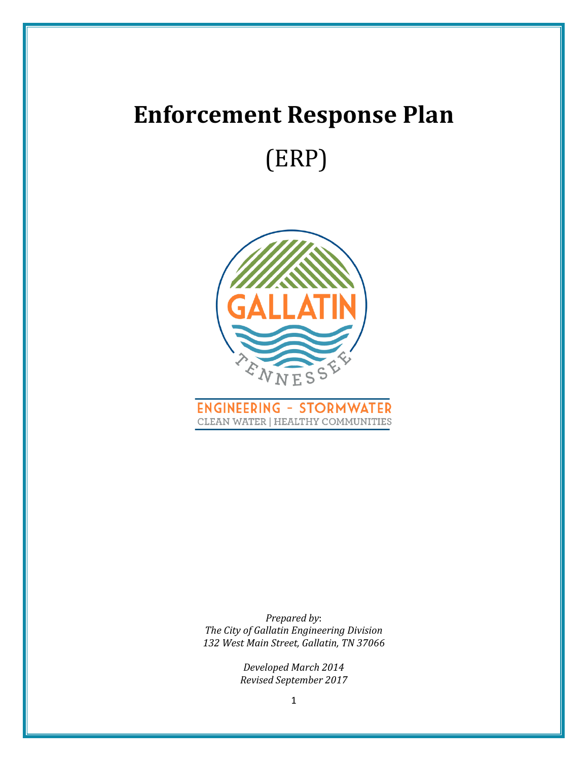# **Enforcement Response Plan** (ERP)





*Prepared by*: *The City of Gallatin Engineering Division 132 West Main Street, Gallatin, TN 37066*

> *Developed March 2014 Revised September 2017*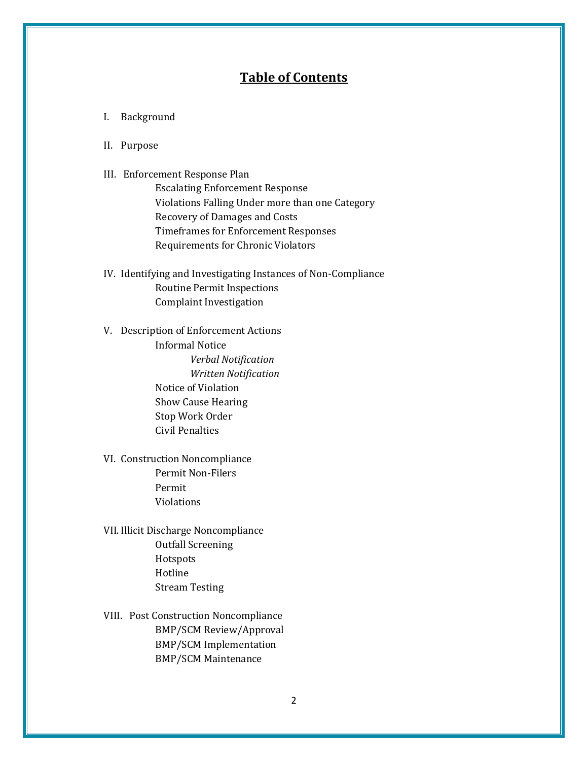## **Table of Contents**

- I. Background
- II. Purpose
- III. Enforcement Response Plan

Escalating Enforcement Response Violations Falling Under more than one Category Recovery of Damages and Costs Timeframes for Enforcement Responses Requirements for Chronic Violators

- IV. Identifying and Investigating Instances of Non-Compliance Routine Permit Inspections Complaint Investigation
- V. Description of Enforcement Actions Informal Notice *Verbal Notification Written Notification* Notice of Violation Show Cause Hearing Stop Work Order Civil Penalties
- VI. Construction Noncompliance Permit Non-Filers Permit Violations
- VII. Illicit Discharge Noncompliance Outfall Screening Hotspots Hotline Stream Testing
- VIII. Post Construction Noncompliance BMP/SCM Review/Approval BMP/SCM Implementation BMP/SCM Maintenance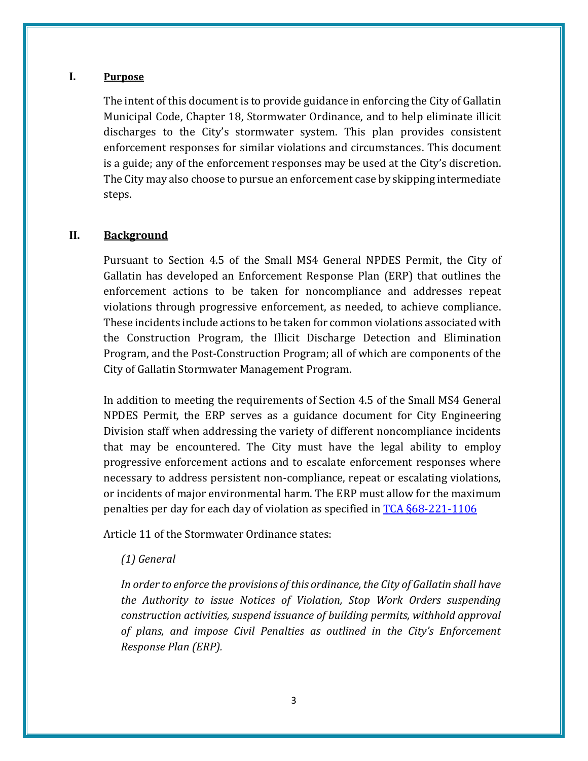## **I. Purpose**

The intent of this document is to provide guidance in enforcing the City of Gallatin Municipal Code, Chapter 18, Stormwater Ordinance, and to help eliminate illicit discharges to the City's stormwater system. This plan provides consistent enforcement responses for similar violations and circumstances. This document is a guide; any of the enforcement responses may be used at the City's discretion. The City may also choose to pursue an enforcement case by skipping intermediate steps.

#### **II. Background**

Pursuant to Section 4.5 of the Small MS4 General NPDES Permit, the City of Gallatin has developed an Enforcement Response Plan (ERP) that outlines the enforcement actions to be taken for noncompliance and addresses repeat violations through progressive enforcement, as needed, to achieve compliance. These incidents include actions to be taken for common violations associated with the Construction Program, the Illicit Discharge Detection and Elimination Program, and the Post-Construction Program; all of which are components of the City of Gallatin Stormwater Management Program.

In addition to meeting the requirements of Section 4.5 of the Small MS4 General NPDES Permit, the ERP serves as a guidance document for City Engineering Division staff when addressing the variety of different noncompliance incidents that may be encountered. The City must have the legal ability to employ progressive enforcement actions and to escalate enforcement responses where necessary to address persistent non-compliance, repeat or escalating violations, or incidents of major environmental harm. The ERP must allow for the maximum penalties per day for each day of violation as specified in [TCA §68-221-1106](http://www.lexisnexis.com/hottopics/tncode/)

Article 11 of the Stormwater Ordinance states:

## *(1) General*

*In order to enforce the provisions of this ordinance, the City of Gallatin shall have the Authority to issue Notices of Violation, Stop Work Orders suspending construction activities, suspend issuance of building permits, withhold approval of plans, and impose Civil Penalties as outlined in the City's Enforcement Response Plan (ERP).*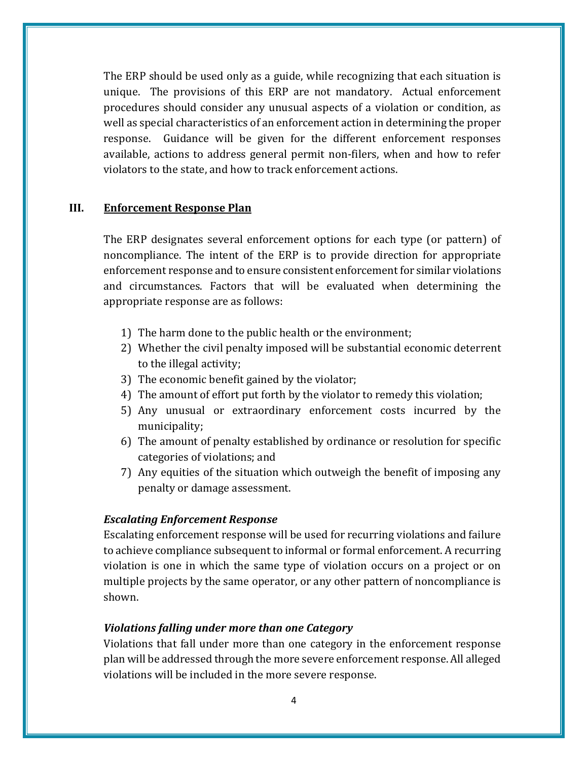The ERP should be used only as a guide, while recognizing that each situation is unique. The provisions of this ERP are not mandatory. Actual enforcement procedures should consider any unusual aspects of a violation or condition, as well as special characteristics of an enforcement action in determining the proper response. Guidance will be given for the different enforcement responses available, actions to address general permit non-filers, when and how to refer violators to the state, and how to track enforcement actions.

## **III. Enforcement Response Plan**

The ERP designates several enforcement options for each type (or pattern) of noncompliance. The intent of the ERP is to provide direction for appropriate enforcement response and to ensure consistent enforcement for similar violations and circumstances. Factors that will be evaluated when determining the appropriate response are as follows:

- 1) The harm done to the public health or the environment;
- 2) Whether the civil penalty imposed will be substantial economic deterrent to the illegal activity;
- 3) The economic benefit gained by the violator;
- 4) The amount of effort put forth by the violator to remedy this violation;
- 5) Any unusual or extraordinary enforcement costs incurred by the municipality;
- 6) The amount of penalty established by ordinance or resolution for specific categories of violations; and
- 7) Any equities of the situation which outweigh the benefit of imposing any penalty or damage assessment.

#### *Escalating Enforcement Response*

Escalating enforcement response will be used for recurring violations and failure to achieve compliance subsequent to informal or formal enforcement. A recurring violation is one in which the same type of violation occurs on a project or on multiple projects by the same operator, or any other pattern of noncompliance is shown.

#### *Violations falling under more than one Category*

Violations that fall under more than one category in the enforcement response plan will be addressed through the more severe enforcement response. All alleged violations will be included in the more severe response.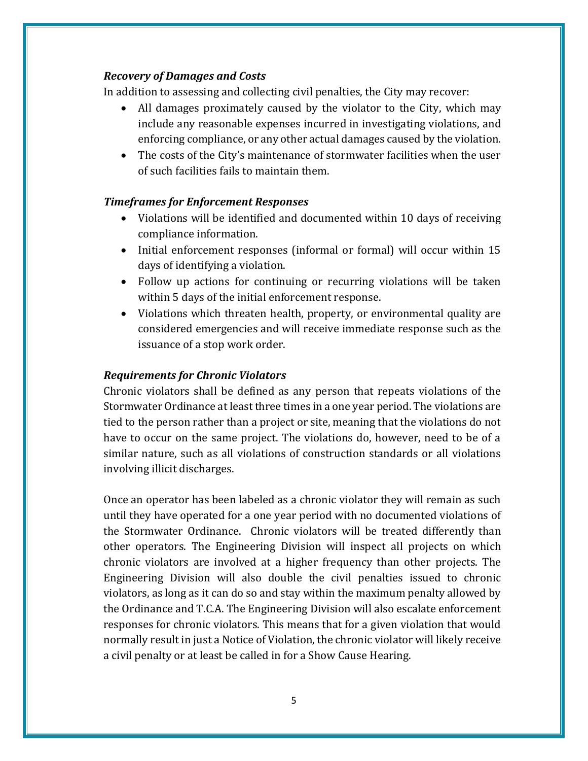## *Recovery of Damages and Costs*

In addition to assessing and collecting civil penalties, the City may recover:

- All damages proximately caused by the violator to the City, which may include any reasonable expenses incurred in investigating violations, and enforcing compliance, or any other actual damages caused by the violation.
- The costs of the City's maintenance of stormwater facilities when the user of such facilities fails to maintain them.

## *Timeframes for Enforcement Responses*

- Violations will be identified and documented within 10 days of receiving compliance information.
- Initial enforcement responses (informal or formal) will occur within 15 days of identifying a violation.
- Follow up actions for continuing or recurring violations will be taken within 5 days of the initial enforcement response.
- Violations which threaten health, property, or environmental quality are considered emergencies and will receive immediate response such as the issuance of a stop work order.

## *Requirements for Chronic Violators*

Chronic violators shall be defined as any person that repeats violations of the Stormwater Ordinance at least three times in a one year period. The violations are tied to the person rather than a project or site, meaning that the violations do not have to occur on the same project. The violations do, however, need to be of a similar nature, such as all violations of construction standards or all violations involving illicit discharges.

Once an operator has been labeled as a chronic violator they will remain as such until they have operated for a one year period with no documented violations of the Stormwater Ordinance. Chronic violators will be treated differently than other operators. The Engineering Division will inspect all projects on which chronic violators are involved at a higher frequency than other projects. The Engineering Division will also double the civil penalties issued to chronic violators, as long as it can do so and stay within the maximum penalty allowed by the Ordinance and T.C.A. The Engineering Division will also escalate enforcement responses for chronic violators. This means that for a given violation that would normally result in just a Notice of Violation, the chronic violator will likely receive a civil penalty or at least be called in for a Show Cause Hearing.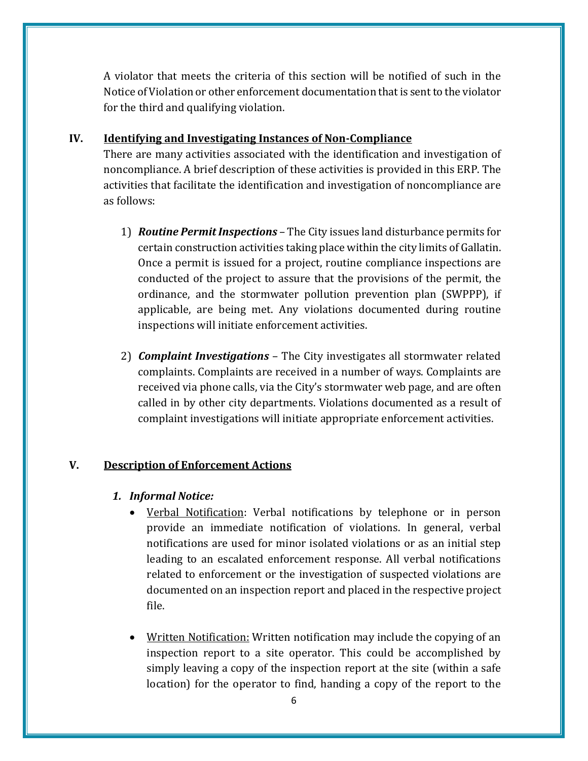A violator that meets the criteria of this section will be notified of such in the Notice of Violation or other enforcement documentation that is sent to the violator for the third and qualifying violation.

## **IV. Identifying and Investigating Instances of Non-Compliance**

There are many activities associated with the identification and investigation of noncompliance. A brief description of these activities is provided in this ERP. The activities that facilitate the identification and investigation of noncompliance are as follows:

- 1) *Routine Permit Inspections* The City issues land disturbance permits for certain construction activities taking place within the city limits of Gallatin. Once a permit is issued for a project, routine compliance inspections are conducted of the project to assure that the provisions of the permit, the ordinance, and the stormwater pollution prevention plan (SWPPP), if applicable, are being met. Any violations documented during routine inspections will initiate enforcement activities.
- 2) *Complaint Investigations* The City investigates all stormwater related complaints. Complaints are received in a number of ways. Complaints are received via phone calls, via the City's stormwater web page, and are often called in by other city departments. Violations documented as a result of complaint investigations will initiate appropriate enforcement activities.

## **V. Description of Enforcement Actions**

## *1. Informal Notice:*

- Verbal Notification: Verbal notifications by telephone or in person provide an immediate notification of violations. In general, verbal notifications are used for minor isolated violations or as an initial step leading to an escalated enforcement response. All verbal notifications related to enforcement or the investigation of suspected violations are documented on an inspection report and placed in the respective project file.
- Written Notification: Written notification may include the copying of an inspection report to a site operator. This could be accomplished by simply leaving a copy of the inspection report at the site (within a safe location) for the operator to find, handing a copy of the report to the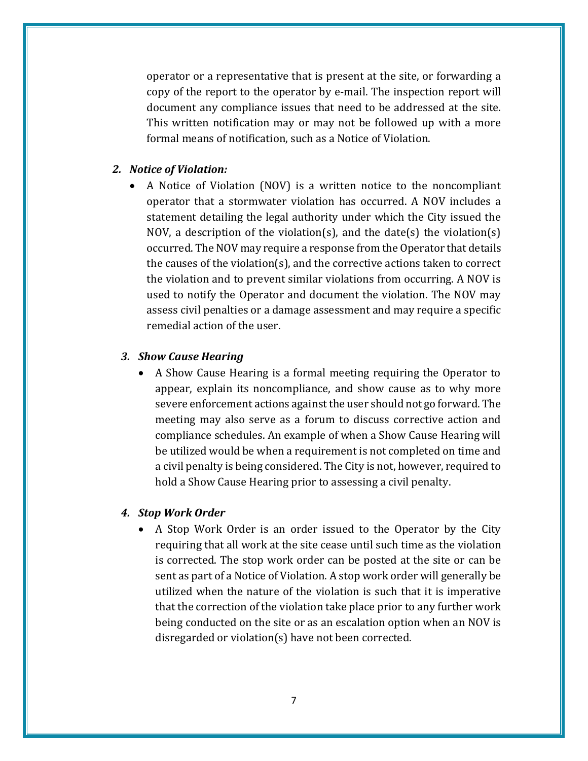operator or a representative that is present at the site, or forwarding a copy of the report to the operator by e-mail. The inspection report will document any compliance issues that need to be addressed at the site. This written notification may or may not be followed up with a more formal means of notification, such as a Notice of Violation.

#### *2. Notice of Violation:*

 A Notice of Violation (NOV) is a written notice to the noncompliant operator that a stormwater violation has occurred. A NOV includes a statement detailing the legal authority under which the City issued the NOV, a description of the violation(s), and the date(s) the violation(s) occurred. The NOV may require a response from the Operator that details the causes of the violation(s), and the corrective actions taken to correct the violation and to prevent similar violations from occurring. A NOV is used to notify the Operator and document the violation. The NOV may assess civil penalties or a damage assessment and may require a specific remedial action of the user.

#### *3. Show Cause Hearing*

 A Show Cause Hearing is a formal meeting requiring the Operator to appear, explain its noncompliance, and show cause as to why more severe enforcement actions against the user should not go forward. The meeting may also serve as a forum to discuss corrective action and compliance schedules. An example of when a Show Cause Hearing will be utilized would be when a requirement is not completed on time and a civil penalty is being considered. The City is not, however, required to hold a Show Cause Hearing prior to assessing a civil penalty.

#### *4. Stop Work Order*

 A Stop Work Order is an order issued to the Operator by the City requiring that all work at the site cease until such time as the violation is corrected. The stop work order can be posted at the site or can be sent as part of a Notice of Violation. A stop work order will generally be utilized when the nature of the violation is such that it is imperative that the correction of the violation take place prior to any further work being conducted on the site or as an escalation option when an NOV is disregarded or violation(s) have not been corrected.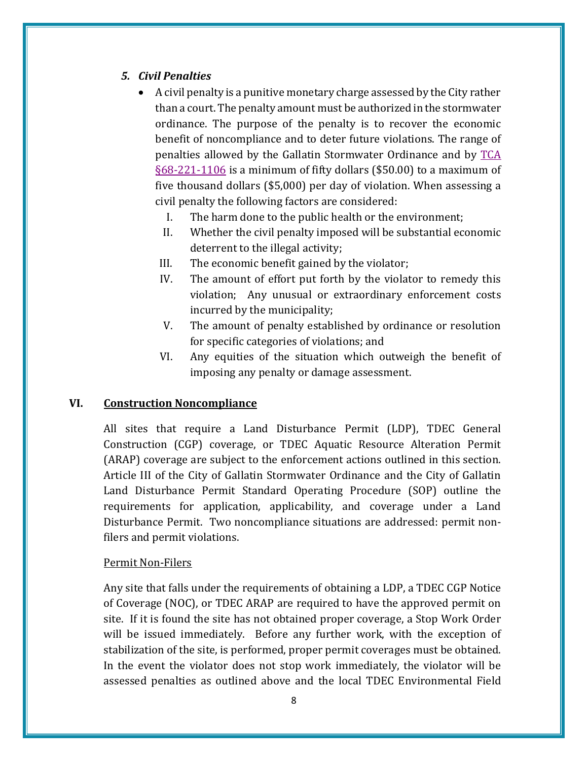## *5. Civil Penalties*

- A civil penalty is a punitive monetary charge assessed by the City rather than a court. The penalty amount must be authorized in the stormwater ordinance. The purpose of the penalty is to recover the economic benefit of noncompliance and to deter future violations. The range of penalties allowed by the Gallatin Stormwater Ordinance and by [TCA](http://www.lexisnexis.com/hottopics/tncode/)  [§68-221-1106](http://www.lexisnexis.com/hottopics/tncode/) is a minimum of fifty dollars (\$50.00) to a maximum of five thousand dollars (\$5,000) per day of violation. When assessing a civil penalty the following factors are considered:
	- I. The harm done to the public health or the environment;
	- II. Whether the civil penalty imposed will be substantial economic deterrent to the illegal activity;
	- III. The economic benefit gained by the violator;
	- IV. The amount of effort put forth by the violator to remedy this violation; Any unusual or extraordinary enforcement costs incurred by the municipality;
	- V. The amount of penalty established by ordinance or resolution for specific categories of violations; and
	- VI. Any equities of the situation which outweigh the benefit of imposing any penalty or damage assessment.

## **VI. Construction Noncompliance**

All sites that require a Land Disturbance Permit (LDP), TDEC General Construction (CGP) coverage, or TDEC Aquatic Resource Alteration Permit (ARAP) coverage are subject to the enforcement actions outlined in this section. Article III of the City of Gallatin Stormwater Ordinance and the City of Gallatin Land Disturbance Permit Standard Operating Procedure (SOP) outline the requirements for application, applicability, and coverage under a Land Disturbance Permit. Two noncompliance situations are addressed: permit nonfilers and permit violations.

## Permit Non-Filers

Any site that falls under the requirements of obtaining a LDP, a TDEC CGP Notice of Coverage (NOC), or TDEC ARAP are required to have the approved permit on site. If it is found the site has not obtained proper coverage, a Stop Work Order will be issued immediately. Before any further work, with the exception of stabilization of the site, is performed, proper permit coverages must be obtained. In the event the violator does not stop work immediately, the violator will be assessed penalties as outlined above and the local TDEC Environmental Field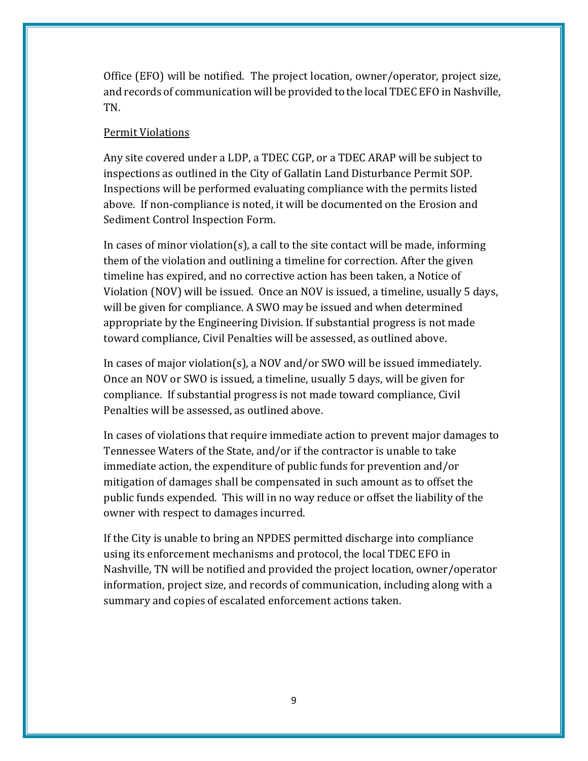Office (EFO) will be notified. The project location, owner/operator, project size, and records of communication will be provided to the local TDEC EFO in Nashville, TN.

#### Permit Violations

Any site covered under a LDP, a TDEC CGP, or a TDEC ARAP will be subject to inspections as outlined in the City of Gallatin Land Disturbance Permit SOP. Inspections will be performed evaluating compliance with the permits listed above. If non-compliance is noted, it will be documented on the Erosion and Sediment Control Inspection Form.

In cases of minor violation(s), a call to the site contact will be made, informing them of the violation and outlining a timeline for correction. After the given timeline has expired, and no corrective action has been taken, a Notice of Violation (NOV) will be issued. Once an NOV is issued, a timeline, usually 5 days, will be given for compliance. A SWO may be issued and when determined appropriate by the Engineering Division. If substantial progress is not made toward compliance, Civil Penalties will be assessed, as outlined above.

In cases of major violation(s), a NOV and/or SWO will be issued immediately. Once an NOV or SWO is issued, a timeline, usually 5 days, will be given for compliance. If substantial progress is not made toward compliance, Civil Penalties will be assessed, as outlined above.

In cases of violations that require immediate action to prevent major damages to Tennessee Waters of the State, and/or if the contractor is unable to take immediate action, the expenditure of public funds for prevention and/or mitigation of damages shall be compensated in such amount as to offset the public funds expended. This will in no way reduce or offset the liability of the owner with respect to damages incurred.

If the City is unable to bring an NPDES permitted discharge into compliance using its enforcement mechanisms and protocol, the local TDEC EFO in Nashville, TN will be notified and provided the project location, owner/operator information, project size, and records of communication, including along with a summary and copies of escalated enforcement actions taken.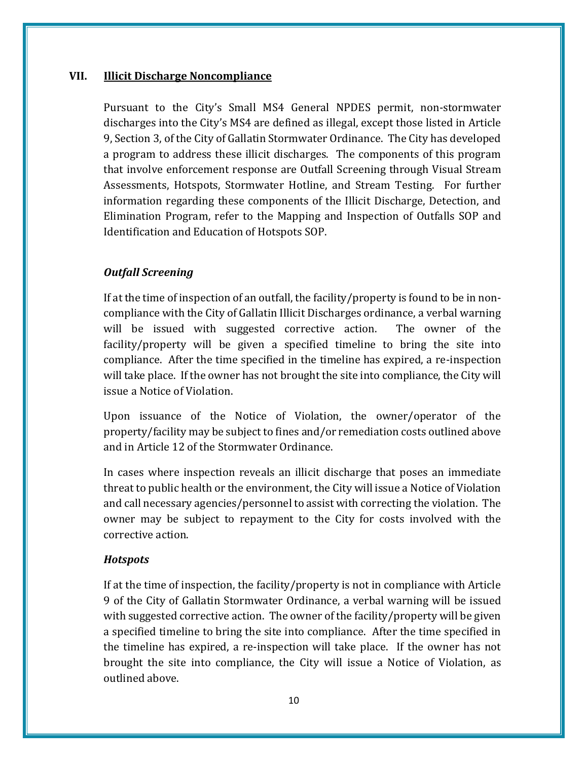## **VII. Illicit Discharge Noncompliance**

Pursuant to the City's Small MS4 General NPDES permit, non-stormwater discharges into the City's MS4 are defined as illegal, except those listed in Article 9, Section 3, of the City of Gallatin Stormwater Ordinance. The City has developed a program to address these illicit discharges. The components of this program that involve enforcement response are Outfall Screening through Visual Stream Assessments, Hotspots, Stormwater Hotline, and Stream Testing. For further information regarding these components of the Illicit Discharge, Detection, and Elimination Program, refer to the Mapping and Inspection of Outfalls SOP and Identification and Education of Hotspots SOP.

## *Outfall Screening*

If at the time of inspection of an outfall, the facility/property is found to be in noncompliance with the City of Gallatin Illicit Discharges ordinance, a verbal warning will be issued with suggested corrective action. The owner of the facility/property will be given a specified timeline to bring the site into compliance. After the time specified in the timeline has expired, a re-inspection will take place. If the owner has not brought the site into compliance, the City will issue a Notice of Violation.

Upon issuance of the Notice of Violation, the owner/operator of the property/facility may be subject to fines and/or remediation costs outlined above and in Article 12 of the Stormwater Ordinance.

In cases where inspection reveals an illicit discharge that poses an immediate threat to public health or the environment, the City will issue a Notice of Violation and call necessary agencies/personnel to assist with correcting the violation. The owner may be subject to repayment to the City for costs involved with the corrective action.

## *Hotspots*

If at the time of inspection, the facility/property is not in compliance with Article 9 of the City of Gallatin Stormwater Ordinance, a verbal warning will be issued with suggested corrective action. The owner of the facility/property will be given a specified timeline to bring the site into compliance. After the time specified in the timeline has expired, a re-inspection will take place. If the owner has not brought the site into compliance, the City will issue a Notice of Violation, as outlined above.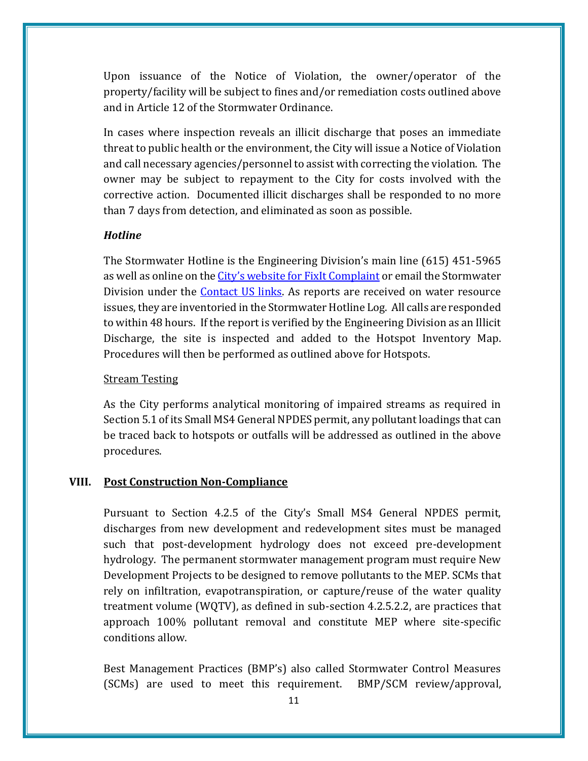Upon issuance of the Notice of Violation, the owner/operator of the property/facility will be subject to fines and/or remediation costs outlined above and in Article 12 of the Stormwater Ordinance.

In cases where inspection reveals an illicit discharge that poses an immediate threat to public health or the environment, the City will issue a Notice of Violation and call necessary agencies/personnel to assist with correcting the violation. The owner may be subject to repayment to the City for costs involved with the corrective action. Documented illicit discharges shall be responded to no more than 7 days from detection, and eliminated as soon as possible.

## *Hotline*

The Stormwater Hotline is the Engineering Division's main line (615) 451-5965 as well as online on the City's website for [FixIt Complaint](https://www.gallatintn.gov/FormCenter/Engineering-4/Fix-It-Form-52) or email the Stormwater Division under the [Contact US links.](https://www.gallatintn.gov/232/Storm-Water) As reports are received on water resource issues, they are inventoried in the Stormwater Hotline Log. All calls are responded to within 48 hours. If the report is verified by the Engineering Division as an Illicit Discharge, the site is inspected and added to the Hotspot Inventory Map. Procedures will then be performed as outlined above for Hotspots.

#### Stream Testing

As the City performs analytical monitoring of impaired streams as required in Section 5.1 of its Small MS4 General NPDES permit, any pollutant loadings that can be traced back to hotspots or outfalls will be addressed as outlined in the above procedures.

## **VIII. Post Construction Non-Compliance**

Pursuant to Section 4.2.5 of the City's Small MS4 General NPDES permit, discharges from new development and redevelopment sites must be managed such that post-development hydrology does not exceed pre-development hydrology. The permanent stormwater management program must require New Development Projects to be designed to remove pollutants to the MEP. SCMs that rely on infiltration, evapotranspiration, or capture/reuse of the water quality treatment volume (WQTV), as defined in sub-section 4.2.5.2.2, are practices that approach 100% pollutant removal and constitute MEP where site-specific conditions allow.

Best Management Practices (BMP's) also called Stormwater Control Measures (SCMs) are used to meet this requirement. BMP/SCM review/approval,